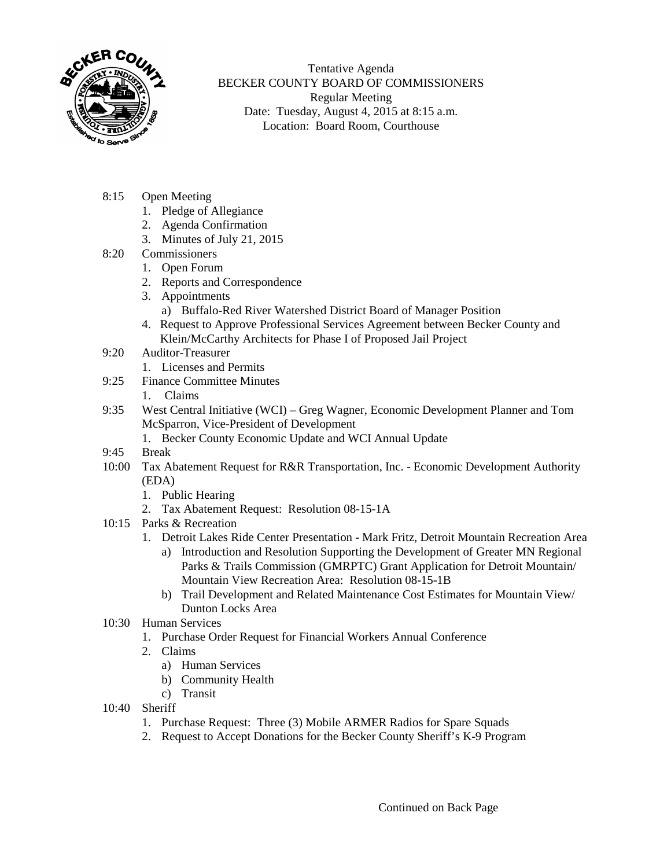

Tentative Agenda BECKER COUNTY BOARD OF COMMISSIONERS Regular Meeting Date: Tuesday, August 4, 2015 at 8:15 a.m. Location: Board Room, Courthouse

- 8:15 Open Meeting
	- 1. Pledge of Allegiance
	- 2. Agenda Confirmation
	- 3. Minutes of July 21, 2015
- 8:20 Commissioners
	- 1. Open Forum
	- 2. Reports and Correspondence
	- 3. Appointments
		- a) Buffalo-Red River Watershed District Board of Manager Position
	- 4. Request to Approve Professional Services Agreement between Becker County and Klein/McCarthy Architects for Phase I of Proposed Jail Project
- 9:20 Auditor-Treasurer
	- 1. Licenses and Permits
- 9:25 Finance Committee Minutes
	- 1. Claims
- 9:35 West Central Initiative (WCI) Greg Wagner, Economic Development Planner and Tom McSparron, Vice-President of Development
	- 1. Becker County Economic Update and WCI Annual Update
- 9:45 Break
- 10:00 Tax Abatement Request for R&R Transportation, Inc. Economic Development Authority (EDA)
	- 1. Public Hearing
	- 2. Tax Abatement Request: Resolution 08-15-1A
- 10:15 Parks & Recreation
	- 1. Detroit Lakes Ride Center Presentation Mark Fritz, Detroit Mountain Recreation Area
		- a) Introduction and Resolution Supporting the Development of Greater MN Regional Parks & Trails Commission (GMRPTC) Grant Application for Detroit Mountain/ Mountain View Recreation Area: Resolution 08-15-1B
		- b) Trail Development and Related Maintenance Cost Estimates for Mountain View/ Dunton Locks Area
- 10:30 Human Services
	- 1. Purchase Order Request for Financial Workers Annual Conference
	- 2. Claims
		- a) Human Services
		- b) Community Health
		- c) Transit
- 10:40 Sheriff
	- 1. Purchase Request: Three (3) Mobile ARMER Radios for Spare Squads
	- 2. Request to Accept Donations for the Becker County Sheriff's K-9 Program